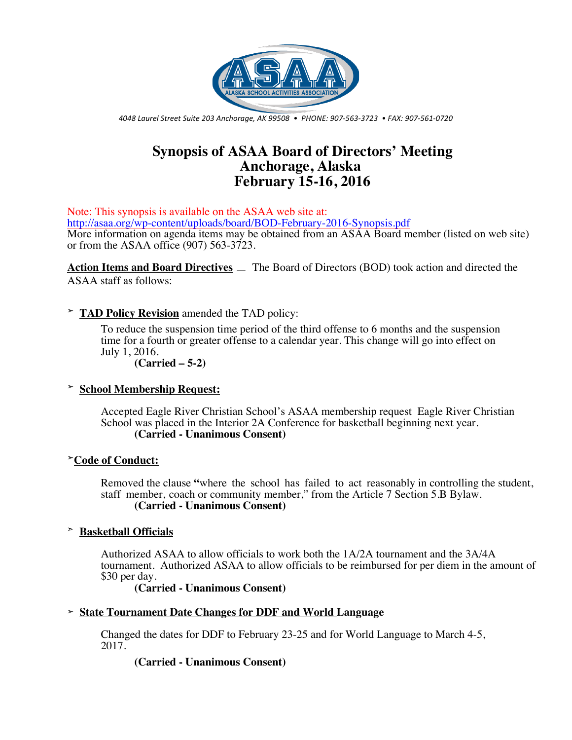

*4048 Laurel Street Suite 203 Anchorage, AK 99508 • PHONE: 907-563-3723 • FAX: 907-561-0720*

# **Synopsis of ASAA Board of Directors' Meeting Anchorage, Alaska February 15-16, 2016**

Note: This synopsis is available on the ASAA web site at: http://asaa.org/wp-content/uploads/board/BOD-February-2016-Synopsis.pdf More information on agenda items may be obtained from an ASAA Board member (listed on web site) or from the ASAA office (907) 563-3723.

**Action Items and Board Directives** — The Board of Directors (BOD) took action and directed the ASAA staff as follows:

# ➣ **TAD Policy Revision** amended the TAD policy:

To reduce the suspension time period of the third offense to 6 months and the suspension time for a fourth or greater offense to a calendar year. This change will go into effect on July 1, 2016.

**(Carried – 5-2)**

# ➣ **School Membership Request:**

Accepted Eagle River Christian School's ASAA membership request Eagle River Christian School was placed in the Interior 2A Conference for basketball beginning next year. **(Carried - Unanimous Consent)**

#### ➣**Code of Conduct:**

Removed the clause **"**where the school has failed to act reasonably in controlling the student, staff member, coach or community member," from the Article 7 Section 5.B Bylaw. **(Carried - Unanimous Consent)**

#### ➣ **Basketball Officials**

Authorized ASAA to allow officials to work both the 1A/2A tournament and the 3A/4A tournament. Authorized ASAA to allow officials to be reimbursed for per diem in the amount of \$30 per day.

#### **(Carried - Unanimous Consent)**

# ➣ **State Tournament Date Changes for DDF and World Language**

Changed the dates for DDF to February 23-25 and for World Language to March 4-5, 2017.

**(Carried - Unanimous Consent)**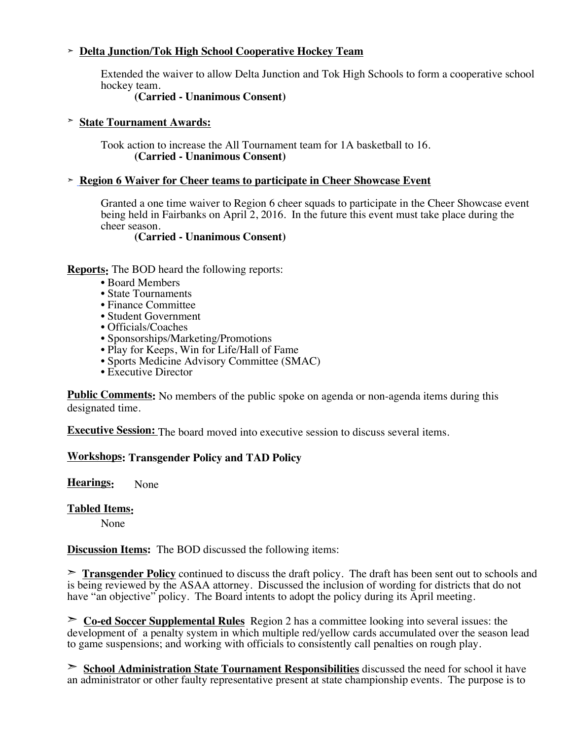# ➣ **Delta Junction/Tok High School Cooperative Hockey Team**

Extended the waiver to allow Delta Junction and Tok High Schools to form a cooperative school

#### (Carried - Unanimous Consent)

#### ➣ **State Tournament Awards:**

Took action to increase the All Tournament team for 1A basketball to 16. **(Carried - Unanimous Consent)**

#### ➣ **Region 6 Waiver for Cheer teams to participate in Cheer Showcase Event**

Granted a one time waiver to Region 6 cheer squads to participate in the Cheer Showcase event being held in Fairbanks on April 2, 2016. In the future this event must take place during the cheer season.

#### **(Carried - Unanimous Consent)**

**Reports:** The BOD heard the following reports:

- Board Members
- State Tournaments
- Finance Committee
- Student Government
- Officials/Coaches
- Sponsorships/Marketing/Promotions
- Play for Keeps, Win for Life/Hall of Fame
- Sports Medicine Advisory Committee (SMAC)
- Executive Director

**Public Comments:** No members of the public spoke on agenda or non-agenda items during this designated time.

**Executive Session:** The board moved into executive session to discuss several items.

# **Workshops: Transgender Policy and TAD Policy**

**Hearings:** None

#### **Tabled Items:**

None

**Discussion Items:** The BOD discussed the following items:

➣ **Transgender Policy** continued to discuss the draft policy. The draft has been sent out to schools and is being reviewed by the ASAA attorney. Discussed the inclusion of wording for districts that do not have "an objective" policy. The Board intents to adopt the policy during its April meeting.

➣ **Co-ed Soccer Supplemental Rules** Region 2 has a committee looking into several issues: the development of a penalty system in which multiple red/yellow cards accumulated over the season lead to game suspensions; and working with officials to consistently call penalties on rough play.

➣ **School Administration State Tournament Responsibilities** discussed the need for school it have an administrator or other faulty representative present at state championship events. The purpose is to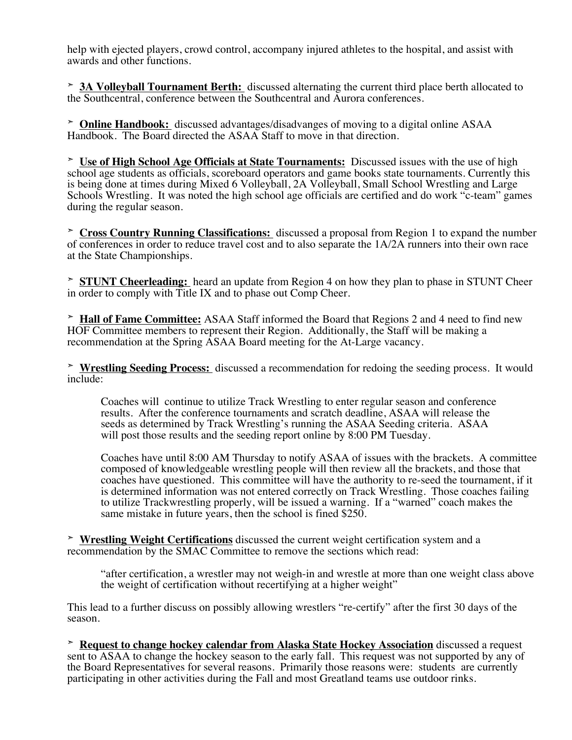help with ejected players, crowd control, accompany injured athletes to the hospital, and assist with awards and other functions.

➣ **3A Volleyball Tournament Berth:** discussed alternating the current third place berth allocated to the Southcentral, conference between the Southcentral and Aurora conferences.

➣ **Online Handbook:** discussed advantages/disadvanges of moving to a digital online ASAA Handbook. The Board directed the ASAA Staff to move in that direction.

➣ **Use of High School Age Officials at State Tournaments:** Discussed issues with the use of high school age students as officials, scoreboard operators and game books state tournaments. Currently this is being done at times during Mixed 6 Volleyball, 2A Volleyball, Small School Wrestling and Large Schools Wrestling. It was noted the high school age officials are certified and do work "c-team" games during the regular season.

➣ **Cross Country Running Classifications:** discussed a proposal from Region 1 to expand the number of conferences in order to reduce travel cost and to also separate the 1A/2A runners into their own race at the State Championships.

➣ **STUNT Cheerleading:** heard an update from Region 4 on how they plan to phase in STUNT Cheer in order to comply with Title IX and to phase out Comp Cheer.

➣ **Hall of Fame Committee:** ASAA Staff informed the Board that Regions 2 and 4 need to find new HOF Committee members to represent their Region. Additionally, the Staff will be making a recommendation at the Spring ASAA Board meeting for the At-Large vacancy.

➣ **Wrestling Seeding Process:** discussed a recommendation for redoing the seeding process. It would include:

Coaches will continue to utilize Track Wrestling to enter regular season and conference results. After the conference tournaments and scratch deadline, ASAA will release the seeds as determined by Track Wrestling's running the ASAA Seeding criteria. ASAA will post those results and the seeding report online by 8:00 PM Tuesday.

Coaches have until 8:00 AM Thursday to notify ASAA of issues with the brackets. A committee composed of knowledgeable wrestling people will then review all the brackets, and those that coaches have questioned. This committee will have the authority to re-seed the tournament, if it is determined information was not entered correctly on Track Wrestling. Those coaches failing to utilize Trackwrestling properly, will be issued a warning. If a "warned" coach makes the same mistake in future years, then the school is fined \$250.

➣ **Wrestling Weight Certifications** discussed the current weight certification system and a recommendation by the SMAC Committee to remove the sections which read:

"after certification, a wrestler may not weigh-in and wrestle at more than one weight class above the weight of certification without recertifying at a higher weight"

This lead to a further discuss on possibly allowing wrestlers "re-certify" after the first 30 days of the season.

➣ **Request to change hockey calendar from Alaska State Hockey Association** discussed a request sent to ASAA to change the hockey season to the early fall. This request was not supported by any of the Board Representatives for several reasons. Primarily those reasons were: students are currently participating in other activities during the Fall and most Greatland teams use outdoor rinks.